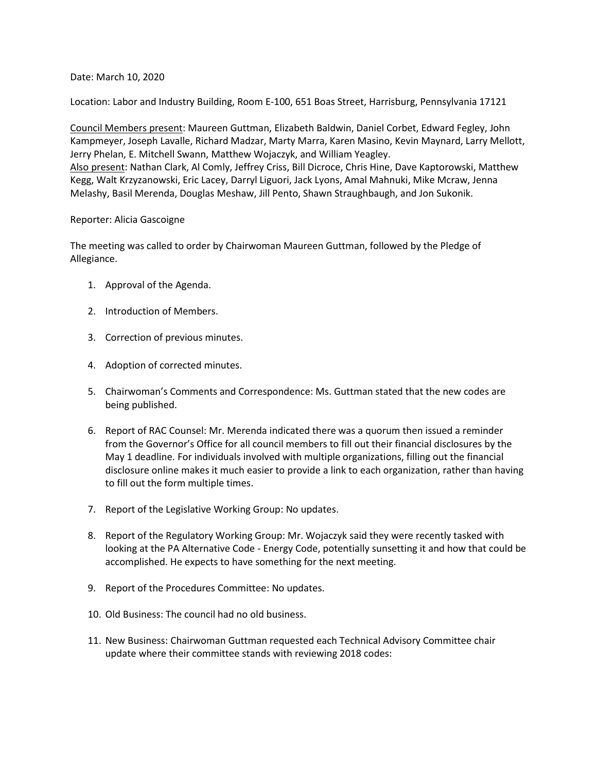Date: March 10, 2020

Location: Labor and Industry Building, Room E-100, 651 Boas Street, Harrisburg, Pennsylvania 17121

Council Members present: Maureen Guttman, Elizabeth Baldwin, Daniel Corbet, Edward Fegley, John Kampmeyer, Joseph Lavalle, Richard Madzar, Marty Marra, Karen Masino, Kevin Maynard, Larry Mellott, Jerry Phelan, E. Mitchell Swann, Matthew Wojaczyk, and William Yeagley. Also present: Nathan Clark, Al Comly, Jeffrey Criss, Bill Dicroce, Chris Hine, Dave Kaptorowski, Matthew Kegg, Walt Krzyzanowski, Eric Lacey, Darryl Liguori, Jack Lyons, Amal Mahnuki, Mike Mcraw, Jenna Melashy, Basil Merenda, Douglas Meshaw, Jill Pento, Shawn Straughbaugh, and Jon Sukonik.

## Reporter: Alicia Gascoigne

The meeting was called to order by Chairwoman Maureen Guttman, followed by the Pledge of Allegiance.

- 1. Approval of the Agenda.
- 2. Introduction of Members.
- 3. Correction of previous minutes.
- 4. Adoption of corrected minutes.
- 5. Chairwoman's Comments and Correspondence: Ms. Guttman stated that the new codes are being published.
- 6. Report of RAC Counsel: Mr. Merenda indicated there was a quorum then issued a reminder from the Governor's Office for all council members to fill out their financial disclosures by the May 1 deadline. For individuals involved with multiple organizations, filling out the financial disclosure online makes it much easier to provide a link to each organization, rather than having to fill out the form multiple times.
- 7. Report of the Legislative Working Group: No updates.
- 8. Report of the Regulatory Working Group: Mr. Wojaczyk said they were recently tasked with looking at the PA Alternative Code - Energy Code, potentially sunsetting it and how that could be accomplished. He expects to have something for the next meeting.
- 9. Report of the Procedures Committee: No updates.
- 10. Old Business: The council had no old business.
- 11. New Business: Chairwoman Guttman requested each Technical Advisory Committee chair update where their committee stands with reviewing 2018 codes: